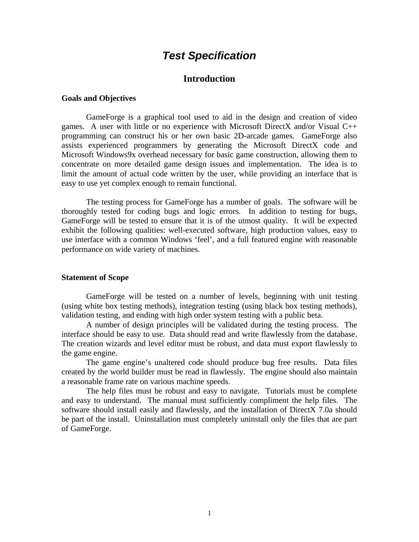## *Test Specification*

### **Introduction**

#### **Goals and Objectives**

GameForge is a graphical tool used to aid in the design and creation of video games. A user with little or no experience with Microsoft DirectX and/or Visual C++ programming can construct his or her own basic 2D-arcade games. GameForge also assists experienced programmers by generating the Microsoft DirectX code and Microsoft Windows9x overhead necessary for basic game construction, allowing them to concentrate on more detailed game design issues and implementation. The idea is to limit the amount of actual code written by the user, while providing an interface that is easy to use yet complex enough to remain functional.

The testing process for GameForge has a number of goals. The software will be thoroughly tested for coding bugs and logic errors. In addition to testing for bugs, GameForge will be tested to ensure that it is of the utmost quality. It will be expected exhibit the following qualities: well-executed software, high production values, easy to use interface with a common Windows 'feel', and a full featured engine with reasonable performance on wide variety of machines.

#### **Statement of Scope**

GameForge will be tested on a number of levels, beginning with unit testing (using white box testing methods), integration testing (using black box testing methods), validation testing, and ending with high order system testing with a public beta.

A number of design principles will be validated during the testing process. The interface should be easy to use. Data should read and write flawlessly from the database. The creation wizards and level editor must be robust, and data must export flawlessly to the game engine.

The game engine's unaltered code should produce bug free results. Data files created by the world builder must be read in flawlessly. The engine should also maintain a reasonable frame rate on various machine speeds.

The help files must be robust and easy to navigate. Tutorials must be complete and easy to understand. The manual must sufficiently compliment the help files. The software should install easily and flawlessly, and the installation of DirectX 7.0a should be part of the install. Uninstallation must completely uninstall only the files that are part of GameForge.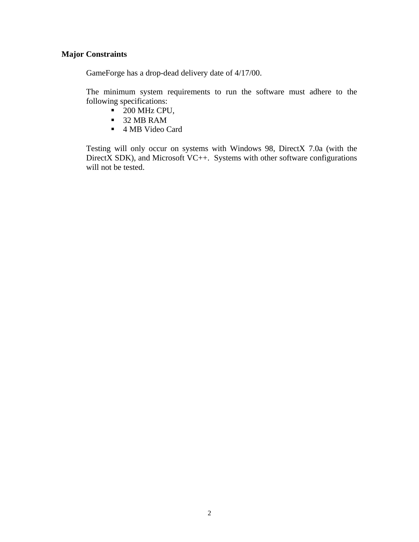### **Major Constraints**

GameForge has a drop-dead delivery date of 4/17/00.

The minimum system requirements to run the software must adhere to the following specifications:

- $\blacksquare$  200 MHz CPU,
- ß 32 MB RAM
- 4 MB Video Card

Testing will only occur on systems with Windows 98, DirectX 7.0a (with the DirectX SDK), and Microsoft VC++. Systems with other software configurations will not be tested.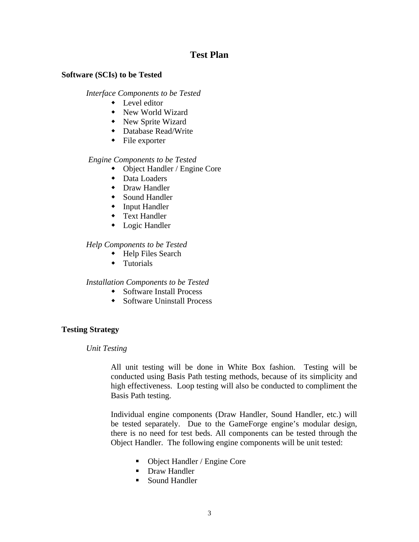### **Test Plan**

### **Software (SCIs) to be Tested**

*Interface Components to be Tested*

- $\bullet$  Level editor
- New World Wizard
- New Sprite Wizard
- Database Read/Write
- $\bullet$  File exporter

### *Engine Components to be Tested*

- $\bullet$  Object Handler / Engine Core
- $\bullet$  Data Loaders
- $\bullet$  Draw Handler
- $\bullet$  Sound Handler
- $\bullet$  Input Handler
- $\triangleleft$  Text Handler
- $\bullet$  Logic Handler

### *Help Components to be Tested*

- $\leftarrow$  Help Files Search
- $\leftarrow$  Tutorials

### *Installation Components to be Tested*

- $\bullet$  Software Install Process
- $\bullet$  Software Uninstall Process

### **Testing Strategy**

### *Unit Testing*

All unit testing will be done in White Box fashion. Testing will be conducted using Basis Path testing methods, because of its simplicity and high effectiveness. Loop testing will also be conducted to compliment the Basis Path testing.

Individual engine components (Draw Handler, Sound Handler, etc.) will be tested separately. Due to the GameForge engine's modular design, there is no need for test beds. All components can be tested through the Object Handler. The following engine components will be unit tested:

- Object Handler / Engine Core
- Draw Handler
- Sound Handler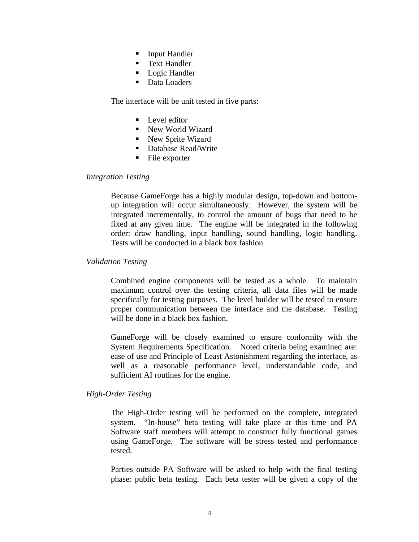- **Input Handler**
- Text Handler
- Logic Handler
- Data Loaders

The interface will be unit tested in five parts:

- $\blacksquare$  Level editor
- New World Wizard
- New Sprite Wizard
- Database Read/Write
- $\blacksquare$  File exporter

### *Integration Testing*

Because GameForge has a highly modular design, top-down and bottomup integration will occur simultaneously. However, the system will be integrated incrementally, to control the amount of bugs that need to be fixed at any given time. The engine will be integrated in the following order: draw handling, input handling, sound handling, logic handling. Tests will be conducted in a black box fashion.

### *Validation Testing*

Combined engine components will be tested as a whole. To maintain maximum control over the testing criteria, all data files will be made specifically for testing purposes. The level builder will be tested to ensure proper communication between the interface and the database. Testing will be done in a black box fashion.

GameForge will be closely examined to ensure conformity with the System Requirements Specification. Noted criteria being examined are: ease of use and Principle of Least Astonishment regarding the interface, as well as a reasonable performance level, understandable code, and sufficient AI routines for the engine.

### *High-Order Testing*

The High-Order testing will be performed on the complete, integrated system. "In-house" beta testing will take place at this time and PA Software staff members will attempt to construct fully functional games using GameForge. The software will be stress tested and performance tested.

Parties outside PA Software will be asked to help with the final testing phase: public beta testing. Each beta tester will be given a copy of the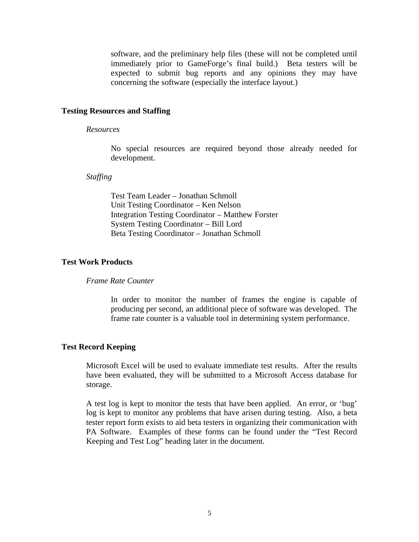software, and the preliminary help files (these will not be completed until immediately prior to GameForge's final build.) Beta testers will be expected to submit bug reports and any opinions they may have concerning the software (especially the interface layout.)

### **Testing Resources and Staffing**

#### *Resources*

No special resources are required beyond those already needed for development.

#### *Staffing*

Test Team Leader – Jonathan Schmoll Unit Testing Coordinator – Ken Nelson Integration Testing Coordinator – Matthew Forster System Testing Coordinator – Bill Lord Beta Testing Coordinator – Jonathan Schmoll

#### **Test Work Products**

#### *Frame Rate Counter*

In order to monitor the number of frames the engine is capable of producing per second, an additional piece of software was developed. The frame rate counter is a valuable tool in determining system performance.

### **Test Record Keeping**

Microsoft Excel will be used to evaluate immediate test results. After the results have been evaluated, they will be submitted to a Microsoft Access database for storage.

A test log is kept to monitor the tests that have been applied. An error, or 'bug' log is kept to monitor any problems that have arisen during testing. Also, a beta tester report form exists to aid beta testers in organizing their communication with PA Software. Examples of these forms can be found under the "Test Record Keeping and Test Log" heading later in the document.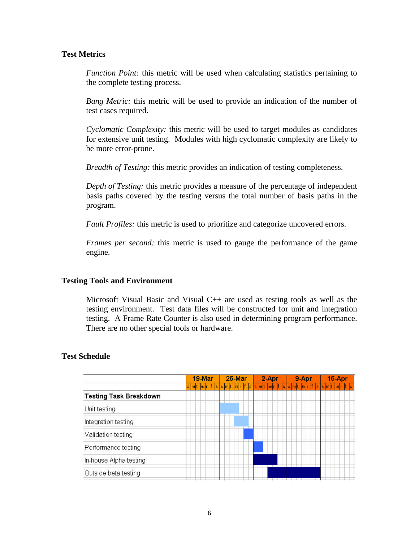### **Test Metrics**

*Function Point:* this metric will be used when calculating statistics pertaining to the complete testing process.

*Bang Metric:* this metric will be used to provide an indication of the number of test cases required.

*Cyclomatic Complexity:* this metric will be used to target modules as candidates for extensive unit testing. Modules with high cyclomatic complexity are likely to be more error-prone.

*Breadth of Testing:* this metric provides an indication of testing completeness.

*Depth of Testing:* this metric provides a measure of the percentage of independent basis paths covered by the testing versus the total number of basis paths in the program.

*Fault Profiles:* this metric is used to prioritize and categorize uncovered errors.

*Frames per second:* this metric is used to gauge the performance of the game engine.

### **Testing Tools and Environment**

Microsoft Visual Basic and Visual C++ are used as testing tools as well as the testing environment. Test data files will be constructed for unit and integration testing. A Frame Rate Counter is also used in determining program performance. There are no other special tools or hardware.

### **Test Schedule**

|                               | 19-Mar |                                                                                  | 26-Mar |  |  | 2-Apr |  |  | 9-Apr |  |  |  | 16-Apr |  |  |  |  |  |  |  |  |  |  |
|-------------------------------|--------|----------------------------------------------------------------------------------|--------|--|--|-------|--|--|-------|--|--|--|--------|--|--|--|--|--|--|--|--|--|--|
|                               |        | s m t  w r f  s  s m t  w r f  s  s m t  w r f  s  s m t  w r f  s  s m t  w r f |        |  |  |       |  |  |       |  |  |  |        |  |  |  |  |  |  |  |  |  |  |
| <b>Testing Task Breakdown</b> |        |                                                                                  |        |  |  |       |  |  |       |  |  |  |        |  |  |  |  |  |  |  |  |  |  |
| Unit testing                  |        |                                                                                  |        |  |  |       |  |  |       |  |  |  |        |  |  |  |  |  |  |  |  |  |  |
| Integration testing           |        |                                                                                  |        |  |  |       |  |  |       |  |  |  |        |  |  |  |  |  |  |  |  |  |  |
| Validation testing            |        |                                                                                  |        |  |  |       |  |  |       |  |  |  |        |  |  |  |  |  |  |  |  |  |  |
| Performance testing           |        |                                                                                  |        |  |  |       |  |  |       |  |  |  |        |  |  |  |  |  |  |  |  |  |  |
| In-house Alpha testing        |        |                                                                                  |        |  |  |       |  |  |       |  |  |  |        |  |  |  |  |  |  |  |  |  |  |
| Outside beta testing          |        |                                                                                  |        |  |  |       |  |  |       |  |  |  |        |  |  |  |  |  |  |  |  |  |  |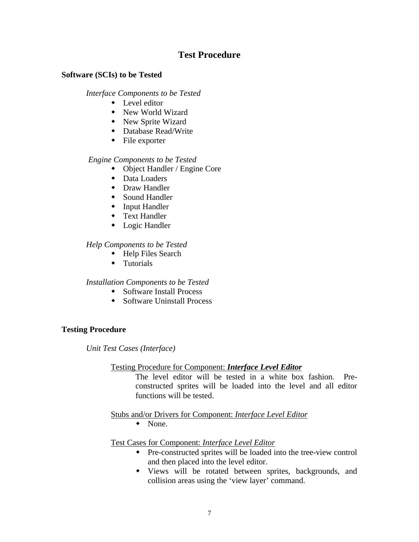### **Test Procedure**

### **Software (SCIs) to be Tested**

*Interface Components to be Tested*

- $\bullet$  Level editor
- New World Wizard
- New Sprite Wizard
- Database Read/Write
- $\leftarrow$  File exporter

### *Engine Components to be Tested*

- $\bullet$  Object Handler / Engine Core
- $\bullet$  Data Loaders
- $\bullet$  Draw Handler
- $\bullet$  Sound Handler
- $\bullet$  Input Handler
- $\bullet$  Text Handler
- $\bullet$  Logic Handler

### *Help Components to be Tested*

- $\leftarrow$  Help Files Search
- $\leftarrow$  Tutorials

### *Installation Components to be Tested*

- $\bullet$  Software Install Process
- $\bullet$  Software Uninstall Process

### **Testing Procedure**

*Unit Test Cases (Interface)*

### Testing Procedure for Component: *Interface Level Editor*

The level editor will be tested in a white box fashion. Preconstructed sprites will be loaded into the level and all editor functions will be tested.

Stubs and/or Drivers for Component: *Interface Level Editor*

 $\bullet$  None.

Test Cases for Component: *Interface Level Editor*

- Pre-constructed sprites will be loaded into the tree-view control and then placed into the level editor.
- Views will be rotated between sprites, backgrounds, and collision areas using the 'view layer' command.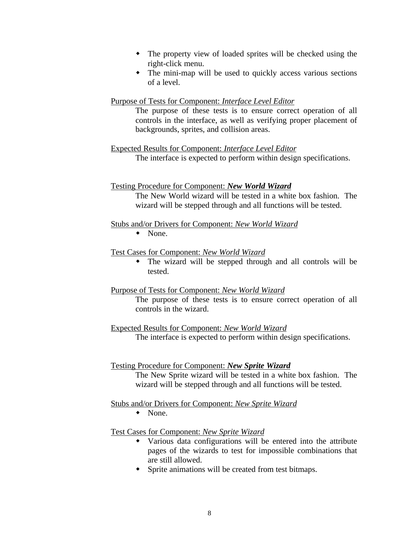- The property view of loaded sprites will be checked using the right-click menu.
- $\bullet$  The mini-map will be used to quickly access various sections of a level.

### Purpose of Tests for Component: *Interface Level Editor*

The purpose of these tests is to ensure correct operation of all controls in the interface, as well as verifying proper placement of backgrounds, sprites, and collision areas.

Expected Results for Component: *Interface Level Editor* The interface is expected to perform within design specifications.

### Testing Procedure for Component: *New World Wizard*

The New World wizard will be tested in a white box fashion. The wizard will be stepped through and all functions will be tested.

### Stubs and/or Drivers for Component: *New World Wizard*

 $\bullet$  None.

### Test Cases for Component: *New World Wizard*

• The wizard will be stepped through and all controls will be tested.

### Purpose of Tests for Component: *New World Wizard*

The purpose of these tests is to ensure correct operation of all controls in the wizard.

Expected Results for Component: *New World Wizard* The interface is expected to perform within design specifications.

### Testing Procedure for Component: *New Sprite Wizard*

The New Sprite wizard will be tested in a white box fashion. The wizard will be stepped through and all functions will be tested.

### Stubs and/or Drivers for Component: *New Sprite Wizard*

 $\bullet$  None.

### Test Cases for Component: *New Sprite Wizard*

- Various data configurations will be entered into the attribute pages of the wizards to test for impossible combinations that are still allowed.
- Sprite animations will be created from test bitmaps.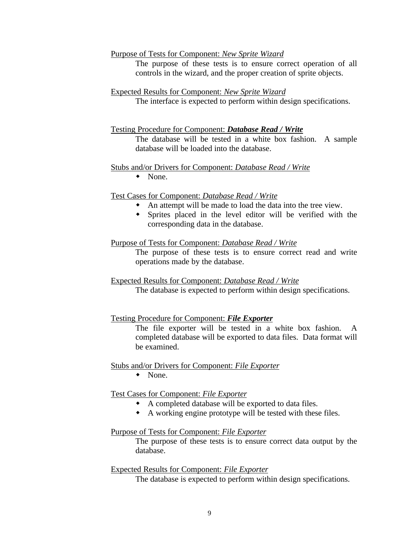#### Purpose of Tests for Component: *New Sprite Wizard*

The purpose of these tests is to ensure correct operation of all controls in the wizard, and the proper creation of sprite objects.

#### Expected Results for Component: *New Sprite Wizard*

The interface is expected to perform within design specifications.

### Testing Procedure for Component: *Database Read / Write*

The database will be tested in a white box fashion. A sample database will be loaded into the database.

#### Stubs and/or Drivers for Component: *Database Read / Write*

 $\bullet$  None.

#### Test Cases for Component: *Database Read / Write*

- An attempt will be made to load the data into the tree view.
- w Sprites placed in the level editor will be verified with the corresponding data in the database.

### Purpose of Tests for Component: *Database Read / Write*

The purpose of these tests is to ensure correct read and write operations made by the database.

### Expected Results for Component: *Database Read / Write*

The database is expected to perform within design specifications.

### Testing Procedure for Component: *File Exporter*

The file exporter will be tested in a white box fashion. A completed database will be exported to data files. Data format will be examined.

#### Stubs and/or Drivers for Component: *File Exporter*

 $\bullet$  None.

#### Test Cases for Component: *File Exporter*

- A completed database will be exported to data files.
- $\bullet$  A working engine prototype will be tested with these files.

### Purpose of Tests for Component: *File Exporter*

The purpose of these tests is to ensure correct data output by the database.

#### Expected Results for Component: *File Exporter*

The database is expected to perform within design specifications.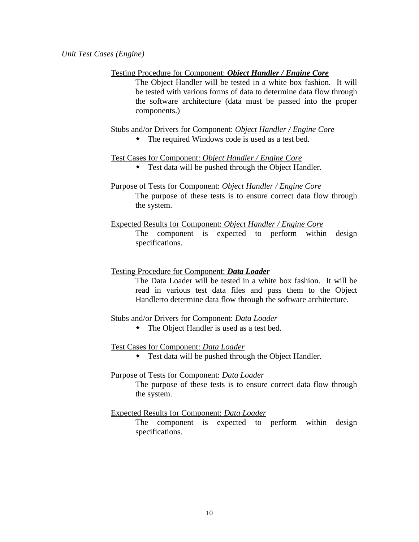### Testing Procedure for Component: *Object Handler / Engine Core*

The Object Handler will be tested in a white box fashion. It will be tested with various forms of data to determine data flow through the software architecture (data must be passed into the proper components.)

Stubs and/or Drivers for Component: *Object Handler / Engine Core*

• The required Windows code is used as a test bed.

### Test Cases for Component: *Object Handler / Engine Core*

• Test data will be pushed through the Object Handler.

## Purpose of Tests for Component: *Object Handler / Engine Core*

The purpose of these tests is to ensure correct data flow through the system.

Expected Results for Component: *Object Handler / Engine Core* The component is expected to perform within design specifications.

### Testing Procedure for Component: *Data Loader*

The Data Loader will be tested in a white box fashion. It will be read in various test data files and pass them to the Object Handlerto determine data flow through the software architecture.

### Stubs and/or Drivers for Component: *Data Loader*

• The Object Handler is used as a test bed.

### Test Cases for Component: *Data Loader*

• Test data will be pushed through the Object Handler.

### Purpose of Tests for Component: *Data Loader*

The purpose of these tests is to ensure correct data flow through the system.

### Expected Results for Component: *Data Loader*

The component is expected to perform within design specifications.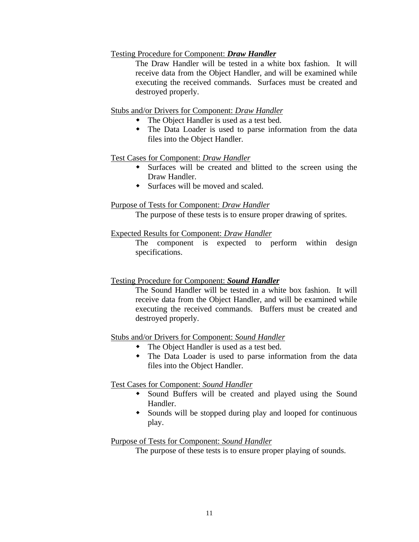### Testing Procedure for Component: *Draw Handler*

The Draw Handler will be tested in a white box fashion. It will receive data from the Object Handler, and will be examined while executing the received commands. Surfaces must be created and destroyed properly.

### Stubs and/or Drivers for Component: *Draw Handler*

- The Object Handler is used as a test bed.
- The Data Loader is used to parse information from the data files into the Object Handler.

### Test Cases for Component: *Draw Handler*

- Surfaces will be created and blitted to the screen using the Draw Handler.
- $\bullet$  Surfaces will be moved and scaled.

### Purpose of Tests for Component: *Draw Handler*

The purpose of these tests is to ensure proper drawing of sprites.

### Expected Results for Component: *Draw Handler*

The component is expected to perform within design specifications.

### Testing Procedure for Component: *Sound Handler*

The Sound Handler will be tested in a white box fashion. It will receive data from the Object Handler, and will be examined while executing the received commands. Buffers must be created and destroyed properly.

### Stubs and/or Drivers for Component: *Sound Handler*

- The Object Handler is used as a test bed.
- The Data Loader is used to parse information from the data files into the Object Handler.

### Test Cases for Component: *Sound Handler*

- Sound Buffers will be created and played using the Sound Handler.
- Sounds will be stopped during play and looped for continuous play.

### Purpose of Tests for Component: *Sound Handler*

The purpose of these tests is to ensure proper playing of sounds.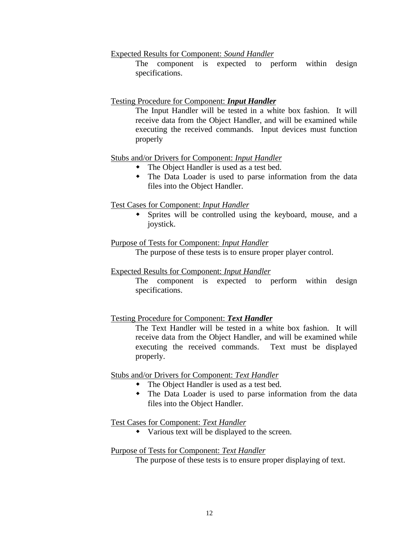Expected Results for Component: *Sound Handler*

The component is expected to perform within design specifications.

### Testing Procedure for Component: *Input Handler*

The Input Handler will be tested in a white box fashion. It will receive data from the Object Handler, and will be examined while executing the received commands. Input devices must function properly

### Stubs and/or Drivers for Component: *Input Handler*

- The Object Handler is used as a test bed.
- The Data Loader is used to parse information from the data files into the Object Handler.

### Test Cases for Component: *Input Handler*

• Sprites will be controlled using the keyboard, mouse, and a joystick.

### Purpose of Tests for Component: *Input Handler*

The purpose of these tests is to ensure proper player control.

### Expected Results for Component: *Input Handler*

The component is expected to perform within design specifications.

### Testing Procedure for Component: *Text Handler*

The Text Handler will be tested in a white box fashion. It will receive data from the Object Handler, and will be examined while executing the received commands. Text must be displayed properly.

### Stubs and/or Drivers for Component: *Text Handler*

- The Object Handler is used as a test bed.
- The Data Loader is used to parse information from the data files into the Object Handler.

### Test Cases for Component: *Text Handler*

 $\bullet$  Various text will be displayed to the screen.

### Purpose of Tests for Component: *Text Handler*

The purpose of these tests is to ensure proper displaying of text.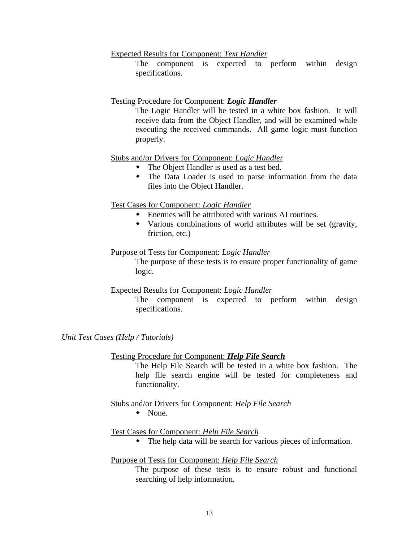Expected Results for Component: *Text Handler*

The component is expected to perform within design specifications.

### Testing Procedure for Component: *Logic Handler*

The Logic Handler will be tested in a white box fashion. It will receive data from the Object Handler, and will be examined while executing the received commands. All game logic must function properly.

### Stubs and/or Drivers for Component: *Logic Handler*

- The Object Handler is used as a test bed.
- The Data Loader is used to parse information from the data files into the Object Handler.

### Test Cases for Component: *Logic Handler*

- $\bullet$  Enemies will be attributed with various AI routines.
- Various combinations of world attributes will be set (gravity, friction, etc.)

### Purpose of Tests for Component: *Logic Handler*

The purpose of these tests is to ensure proper functionality of game logic.

### Expected Results for Component: *Logic Handler*

The component is expected to perform within design specifications.

*Unit Test Cases (Help / Tutorials)*

### Testing Procedure for Component: *Help File Search*

The Help File Search will be tested in a white box fashion. The help file search engine will be tested for completeness and functionality.

### Stubs and/or Drivers for Component: *Help File Search*

 $\bullet$  None.

### Test Cases for Component: *Help File Search*

 $\bullet$  The help data will be search for various pieces of information.

### Purpose of Tests for Component: *Help File Search*

The purpose of these tests is to ensure robust and functional searching of help information.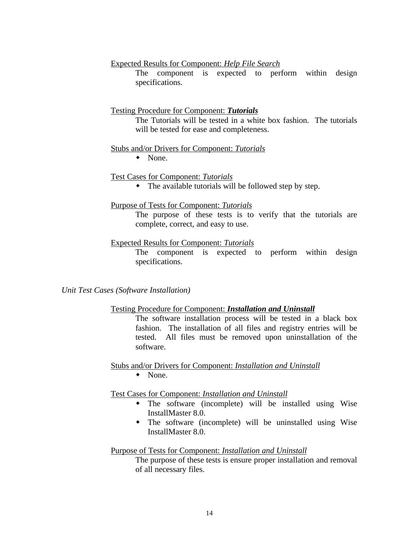Expected Results for Component: *Help File Search*

The component is expected to perform within design specifications.

### Testing Procedure for Component: *Tutorials*

The Tutorials will be tested in a white box fashion. The tutorials will be tested for ease and completeness.

#### Stubs and/or Drivers for Component: *Tutorials*

 $\bullet$  None.

### Test Cases for Component: *Tutorials*

 $\bullet$  The available tutorials will be followed step by step.

#### Purpose of Tests for Component: *Tutorials*

The purpose of these tests is to verify that the tutorials are complete, correct, and easy to use.

#### Expected Results for Component: *Tutorials*

The component is expected to perform within design specifications.

*Unit Test Cases (Software Installation)*

#### Testing Procedure for Component: *Installation and Uninstall*

The software installation process will be tested in a black box fashion. The installation of all files and registry entries will be tested. All files must be removed upon uninstallation of the software.

Stubs and/or Drivers for Component: *Installation and Uninstall*  $\bullet$  None.

Test Cases for Component: *Installation and Uninstall*

- $\bullet$  The software (incomplete) will be installed using Wise InstallMaster 8.0.
- $\bullet$  The software (incomplete) will be uninstalled using Wise InstallMaster 8.0.

### Purpose of Tests for Component: *Installation and Uninstall*

The purpose of these tests is ensure proper installation and removal of all necessary files.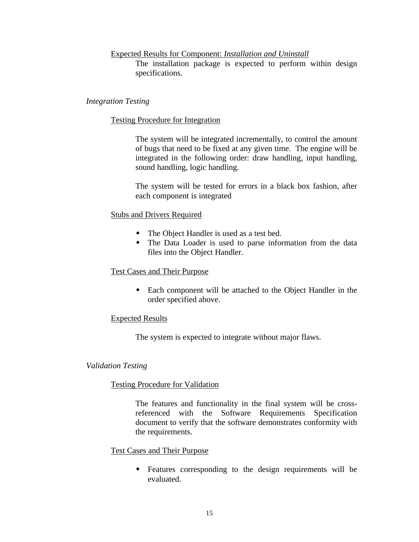### Expected Results for Component: *Installation and Uninstall*

The installation package is expected to perform within design specifications.

### *Integration Testing*

### Testing Procedure for Integration

The system will be integrated incrementally, to control the amount of bugs that need to be fixed at any given time. The engine will be integrated in the following order: draw handling, input handling, sound handling, logic handling.

The system will be tested for errors in a black box fashion, after each component is integrated

### Stubs and Drivers Required

- The Object Handler is used as a test bed.
- The Data Loader is used to parse information from the data files into the Object Handler.

### Test Cases and Their Purpose

• Each component will be attached to the Object Handler in the order specified above.

### Expected Results

The system is expected to integrate without major flaws.

### *Validation Testing*

### Testing Procedure for Validation

The features and functionality in the final system will be crossreferenced with the Software Requirements Specification document to verify that the software demonstrates conformity with the requirements.

### Test Cases and Their Purpose

• Features corresponding to the design requirements will be evaluated.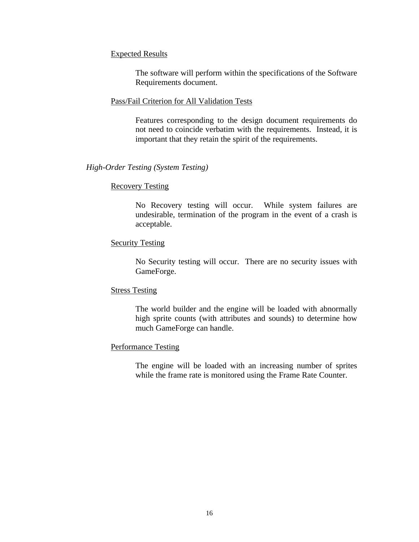### Expected Results

The software will perform within the specifications of the Software Requirements document.

### Pass/Fail Criterion for All Validation Tests

Features corresponding to the design document requirements do not need to coincide verbatim with the requirements. Instead, it is important that they retain the spirit of the requirements.

### *High-Order Testing (System Testing)*

### Recovery Testing

No Recovery testing will occur. While system failures are undesirable, termination of the program in the event of a crash is acceptable.

### Security Testing

No Security testing will occur. There are no security issues with GameForge.

### Stress Testing

The world builder and the engine will be loaded with abnormally high sprite counts (with attributes and sounds) to determine how much GameForge can handle.

### Performance Testing

The engine will be loaded with an increasing number of sprites while the frame rate is monitored using the Frame Rate Counter.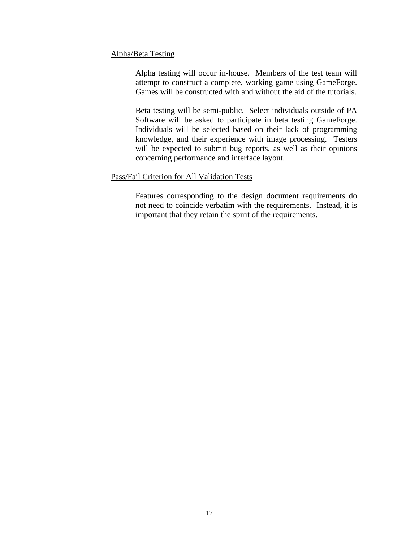### Alpha/Beta Testing

Alpha testing will occur in-house. Members of the test team will attempt to construct a complete, working game using GameForge. Games will be constructed with and without the aid of the tutorials.

Beta testing will be semi-public. Select individuals outside of PA Software will be asked to participate in beta testing GameForge. Individuals will be selected based on their lack of programming knowledge, and their experience with image processing. Testers will be expected to submit bug reports, as well as their opinions concerning performance and interface layout.

### Pass/Fail Criterion for All Validation Tests

Features corresponding to the design document requirements do not need to coincide verbatim with the requirements. Instead, it is important that they retain the spirit of the requirements.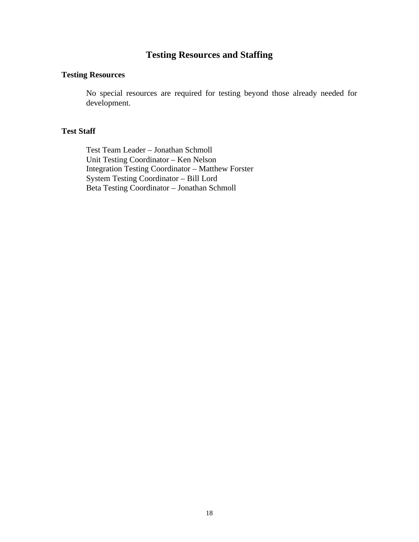## **Testing Resources and Staffing**

### **Testing Resources**

No special resources are required for testing beyond those already needed for development.

### **Test Staff**

Test Team Leader – Jonathan Schmoll Unit Testing Coordinator – Ken Nelson Integration Testing Coordinator – Matthew Forster System Testing Coordinator – Bill Lord Beta Testing Coordinator – Jonathan Schmoll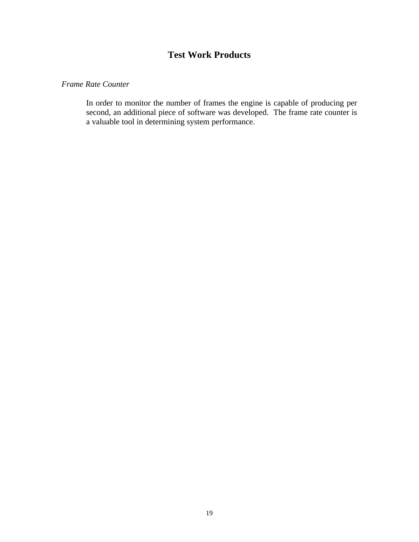## **Test Work Products**

### *Frame Rate Counter*

In order to monitor the number of frames the engine is capable of producing per second, an additional piece of software was developed. The frame rate counter is a valuable tool in determining system performance.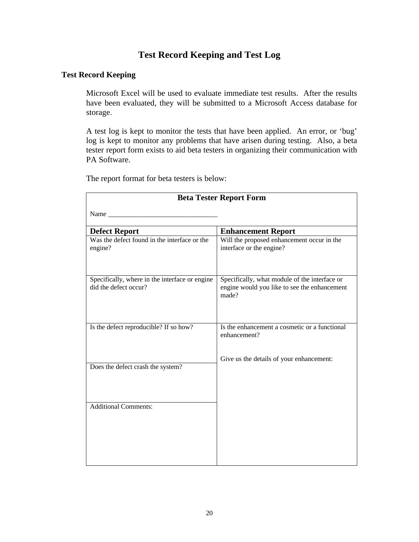## **Test Record Keeping and Test Log**

### **Test Record Keeping**

Microsoft Excel will be used to evaluate immediate test results. After the results have been evaluated, they will be submitted to a Microsoft Access database for storage.

A test log is kept to monitor the tests that have been applied. An error, or 'bug' log is kept to monitor any problems that have arisen during testing. Also, a beta tester report form exists to aid beta testers in organizing their communication with PA Software.

The report format for beta testers is below:

| <b>Beta Tester Report Form</b>                                          |                                                                                                        |  |  |  |  |  |  |  |
|-------------------------------------------------------------------------|--------------------------------------------------------------------------------------------------------|--|--|--|--|--|--|--|
| Name                                                                    |                                                                                                        |  |  |  |  |  |  |  |
| <b>Defect Report</b>                                                    | <b>Enhancement Report</b>                                                                              |  |  |  |  |  |  |  |
| Was the defect found in the interface or the<br>engine?                 | Will the proposed enhancement occur in the<br>interface or the engine?                                 |  |  |  |  |  |  |  |
| Specifically, where in the interface or engine<br>did the defect occur? | Specifically, what module of the interface or<br>engine would you like to see the enhancement<br>made? |  |  |  |  |  |  |  |
| Is the defect reproducible? If so how?                                  | Is the enhancement a cosmetic or a functional<br>enhancement?                                          |  |  |  |  |  |  |  |
| Does the defect crash the system?                                       | Give us the details of your enhancement:                                                               |  |  |  |  |  |  |  |
| <b>Additional Comments:</b>                                             |                                                                                                        |  |  |  |  |  |  |  |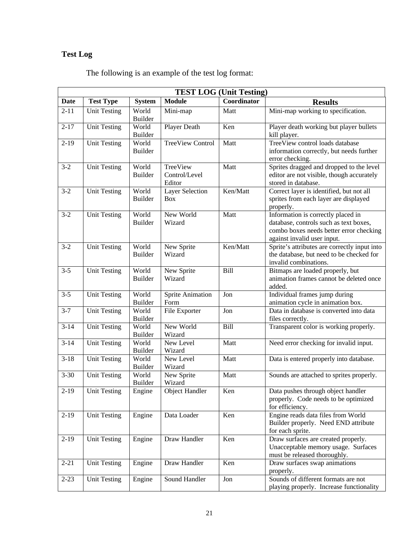# **Test Log**

|  |  |  |  | The following is an example of the test log format: |
|--|--|--|--|-----------------------------------------------------|
|  |  |  |  |                                                     |

| <b>TEST LOG (Unit Testing)</b> |                     |                         |                                      |             |                                                                                                                                                        |  |  |  |  |  |
|--------------------------------|---------------------|-------------------------|--------------------------------------|-------------|--------------------------------------------------------------------------------------------------------------------------------------------------------|--|--|--|--|--|
| <b>Date</b>                    | <b>Test Type</b>    | <b>System</b>           | <b>Module</b>                        | Coordinator | <b>Results</b>                                                                                                                                         |  |  |  |  |  |
| $2 - 11$                       | <b>Unit Testing</b> | World<br><b>Builder</b> | Mini-map                             | Matt        | Mini-map working to specification.                                                                                                                     |  |  |  |  |  |
| $2 - 17$                       | <b>Unit Testing</b> | World<br><b>Builder</b> | Player Death                         | Ken         | Player death working but player bullets<br>kill player.                                                                                                |  |  |  |  |  |
| $2-19$                         | <b>Unit Testing</b> | World<br><b>Builder</b> | <b>TreeView Control</b>              | Matt        | TreeView control loads database<br>information correctly, but needs further<br>error checking.                                                         |  |  |  |  |  |
| $3 - 2$                        | <b>Unit Testing</b> | World<br><b>Builder</b> | TreeView<br>Control/Level<br>Editor  | Matt        | Sprites dragged and dropped to the level<br>editor are not visible, though accurately<br>stored in database.                                           |  |  |  |  |  |
| $3 - 2$                        | <b>Unit Testing</b> | World<br><b>Builder</b> | <b>Layer Selection</b><br><b>Box</b> | Ken/Matt    | Correct layer is identified, but not all<br>sprites from each layer are displayed<br>properly.                                                         |  |  |  |  |  |
| $3 - 2$                        | <b>Unit Testing</b> | World<br><b>Builder</b> | New World<br>Wizard                  | Matt        | Information is correctly placed in<br>database, controls such as text boxes,<br>combo boxes needs better error checking<br>against invalid user input. |  |  |  |  |  |
| $3 - 2$                        | <b>Unit Testing</b> | World<br><b>Builder</b> | New Sprite<br>Wizard                 | Ken/Matt    | Sprite's attributes are correctly input into<br>the database, but need to be checked for<br>invalid combinations.                                      |  |  |  |  |  |
| $3 - 5$                        | <b>Unit Testing</b> | World<br><b>Builder</b> | New Sprite<br>Wizard                 | Bill        | Bitmaps are loaded properly, but<br>animation frames cannot be deleted once<br>added.                                                                  |  |  |  |  |  |
| $3 - 5$                        | <b>Unit Testing</b> | World<br><b>Builder</b> | Sprite Animation<br>Form             | Jon         | Individual frames jump during<br>animation cycle in animation box.                                                                                     |  |  |  |  |  |
| $3 - 7$                        | <b>Unit Testing</b> | World<br><b>Builder</b> | File Exporter                        | Jon         | Data in database is converted into data<br>files correctly.                                                                                            |  |  |  |  |  |
| $3 - 14$                       | <b>Unit Testing</b> | World<br><b>Builder</b> | New World<br>Wizard                  | Bill        | Transparent color is working properly.                                                                                                                 |  |  |  |  |  |
| $3 - 14$                       | <b>Unit Testing</b> | World<br>Builder        | New Level<br>Wizard                  | Matt        | Need error checking for invalid input.                                                                                                                 |  |  |  |  |  |
| $3 - 18$                       | <b>Unit Testing</b> | World<br><b>Builder</b> | New Level<br>Wizard                  | Matt        | Data is entered properly into database.                                                                                                                |  |  |  |  |  |
| $3 - 30$                       | <b>Unit Testing</b> | World<br><b>Builder</b> | New Sprite<br>Wizard                 | Matt        | Sounds are attached to sprites properly.                                                                                                               |  |  |  |  |  |
| $\overline{2-19}$              | <b>Unit Testing</b> | Engine                  | <b>Object Handler</b>                | Ken         | Data pushes through object handler<br>properly. Code needs to be optimized<br>for efficiency.                                                          |  |  |  |  |  |
| $2-19$                         | <b>Unit Testing</b> | Engine                  | Data Loader                          | Ken         | Engine reads data files from World<br>Builder properly. Need END attribute<br>for each sprite.                                                         |  |  |  |  |  |
| $2-19$                         | <b>Unit Testing</b> | Engine                  | Draw Handler                         | Ken         | Draw surfaces are created properly.<br>Unacceptable memory usage. Surfaces<br>must be released thoroughly.                                             |  |  |  |  |  |
| $2 - 21$                       | <b>Unit Testing</b> | Engine                  | Draw Handler                         | Ken         | Draw surfaces swap animations<br>properly.                                                                                                             |  |  |  |  |  |
| $2 - 23$                       | <b>Unit Testing</b> | Engine                  | Sound Handler                        | Jon         | Sounds of different formats are not<br>playing properly. Increase functionality                                                                        |  |  |  |  |  |